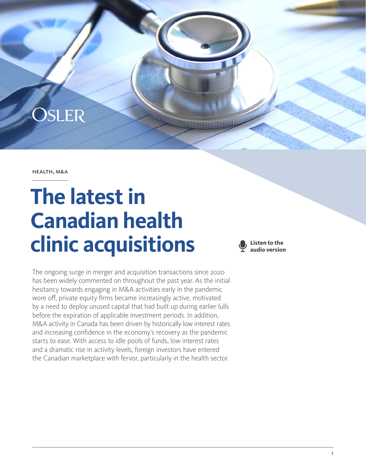

health, m&a

# **The latest in Canadian health clinic acquisitions**

**Listen to the audio version**

The ongoing surge in merger and acquisition transactions since 2020 has been widely commented on throughout the past year. As the initial hesitancy towards engaging in M&A activities early in the pandemic wore off, private equity firms became increasingly active, motivated by a need to deploy unused capital that had built up during earlier lulls before the expiration of applicable investment periods. In addition, M&A activity in Canada has been driven by historically low interest rates and increasing confidence in the economy's recovery as the pandemic starts to ease. With access to idle pools of funds, low interest rates and a dramatic rise in activity levels, foreign investors have entered the Canadian marketplace with fervor, particularly in the health sector.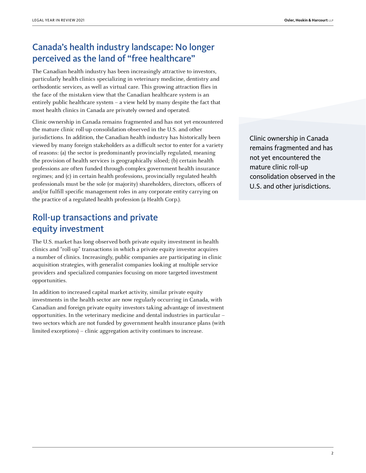# Canada's health industry landscape: No longer perceived as the land of "free healthcare"

The Canadian health industry has been increasingly attractive to investors, particularly health clinics specializing in veterinary medicine, dentistry and orthodontic services, as well as virtual care. This growing attraction flies in the face of the mistaken view that the Canadian healthcare system is an entirely public healthcare system – a view held by many despite the fact that most health clinics in Canada are privately owned and operated.

Clinic ownership in Canada remains fragmented and has not yet encountered the mature clinic roll-up consolidation observed in the U.S. and other jurisdictions. In addition, the Canadian health industry has historically been viewed by many foreign stakeholders as a difficult sector to enter for a variety of reasons: (a) the sector is predominantly provincially regulated, meaning the provision of health services is geographically siloed; (b) certain health professions are often funded through complex government health insurance regimes; and (c) in certain health professions, provincially regulated health professionals must be the sole (or majority) shareholders, directors, officers of and/or fulfill specific management roles in any corporate entity carrying on the practice of a regulated health profession (a Health Corp.).

# Roll-up transactions and private equity investment

The U.S. market has long observed both private equity investment in health clinics and "roll-up" transactions in which a private equity investor acquires a number of clinics. Increasingly, public companies are participating in clinic acquisition strategies, with generalist companies looking at multiple service providers and specialized companies focusing on more targeted investment opportunities.

In addition to increased capital market activity, similar private equity investments in the health sector are now regularly occurring in Canada, with Canadian and foreign private equity investors taking advantage of investment opportunities. In the veterinary medicine and dental industries in particular – two sectors which are not funded by government health insurance plans (with limited exceptions) – clinic aggregation activity continues to increase.

Clinic ownership in Canada remains fragmented and has not yet encountered the mature clinic roll-up consolidation observed in the U.S. and other jurisdictions.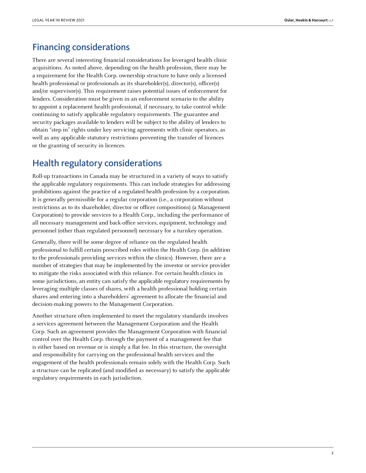### Financing considerations

There are several interesting financial considerations for leveraged health clinic acquisitions. As noted above, depending on the health profession, there may be a requirement for the Health Corp. ownership structure to have only a licensed health professional or professionals as its shareholder(s), director(s), officer(s) and/or supervisor(s). This requirement raises potential issues of enforcement for lenders. Consideration must be given in an enforcement scenario to the ability to appoint a replacement health professional, if necessary, to take control while continuing to satisfy applicable regulatory requirements. The guarantee and security packages available to lenders will be subject to the ability of lenders to obtain "step in" rights under key servicing agreements with clinic operators, as well as any applicable statutory restrictions preventing the transfer of licences or the granting of security in licences.

#### Health regulatory considerations

Roll-up transactions in Canada may be structured in a variety of ways to satisfy the applicable regulatory requirements. This can include strategies for addressing prohibitions against the practice of a regulated health profession by a corporation. It is generally permissible for a regular corporation (i.e., a corporation without restrictions as to its shareholder, director or officer compositions) (a Management Corporation) to provide services to a Health Corp., including the performance of all necessary management and back-office services, equipment, technology and personnel (other than regulated personnel) necessary for a turnkey operation.

Generally, there will be some degree of reliance on the regulated health professional to fulfill certain prescribed roles within the Health Corp. (in addition to the professionals providing services within the clinics). However, there are a number of strategies that may be implemented by the investor or service provider to mitigate the risks associated with this reliance. For certain health clinics in some jurisdictions, an entity can satisfy the applicable regulatory requirements by leveraging multiple classes of shares, with a health professional holding certain shares and entering into a shareholders' agreement to allocate the financial and decision-making powers to the Management Corporation.

Another structure often implemented to meet the regulatory standards involves a services agreement between the Management Corporation and the Health Corp. Such an agreement provides the Management Corporation with financial control over the Health Corp. through the payment of a management fee that is either based on revenue or is simply a flat fee. In this structure, the oversight and responsibility for carrying on the professional health services and the engagement of the health professionals remain solely with the Health Corp. Such a structure can be replicated (and modified as necessary) to satisfy the applicable regulatory requirements in each jurisdiction.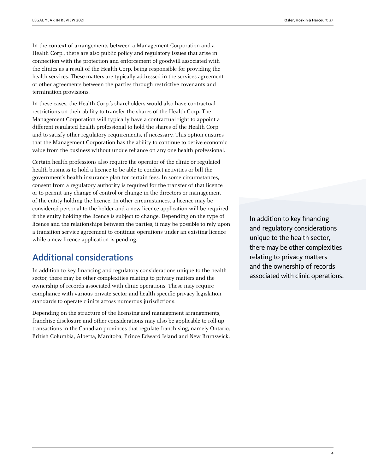In the context of arrangements between a Management Corporation and a Health Corp., there are also public policy and regulatory issues that arise in connection with the protection and enforcement of goodwill associated with the clinics as a result of the Health Corp. being responsible for providing the health services. These matters are typically addressed in the services agreement or other agreements between the parties through restrictive covenants and termination provisions.

In these cases, the Health Corp.'s shareholders would also have contractual restrictions on their ability to transfer the shares of the Health Corp. The Management Corporation will typically have a contractual right to appoint a different regulated health professional to hold the shares of the Health Corp. and to satisfy other regulatory requirements, if necessary. This option ensures that the Management Corporation has the ability to continue to derive economic value from the business without undue reliance on any one health professional.

Certain health professions also require the operator of the clinic or regulated health business to hold a licence to be able to conduct activities or bill the government's health insurance plan for certain fees. In some circumstances, consent from a regulatory authority is required for the transfer of that licence or to permit any change of control or change in the directors or management of the entity holding the licence. In other circumstances, a licence may be considered personal to the holder and a new licence application will be required if the entity holding the licence is subject to change. Depending on the type of licence and the relationships between the parties, it may be possible to rely upon a transition service agreement to continue operations under an existing licence while a new licence application is pending.

#### Additional considerations

In addition to key financing and regulatory considerations unique to the health sector, there may be other complexities relating to privacy matters and the ownership of records associated with clinic operations. These may require compliance with various private sector and health-specific privacy legislation standards to operate clinics across numerous jurisdictions.

Depending on the structure of the licensing and management arrangements, franchise disclosure and other considerations may also be applicable to roll-up transactions in the Canadian provinces that regulate franchising, namely Ontario, British Columbia, Alberta, Manitoba, Prince Edward Island and New Brunswick.

In addition to key financing and regulatory considerations unique to the health sector, there may be other complexities relating to privacy matters and the ownership of records associated with clinic operations.